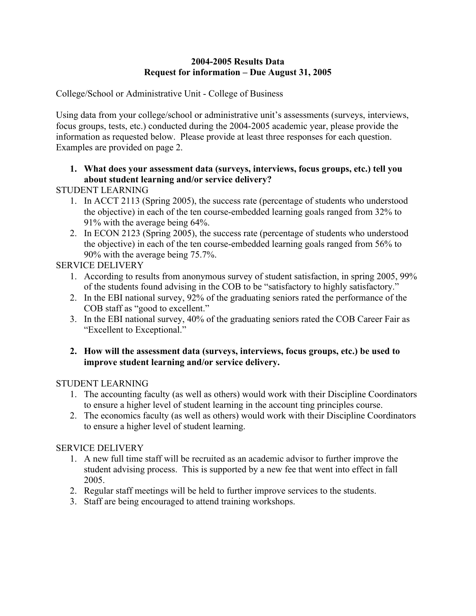## **2004-2005 Results Data Request for information – Due August 31, 2005**

College/School or Administrative Unit - College of Business

Using data from your college/school or administrative unit's assessments (surveys, interviews, focus groups, tests, etc.) conducted during the 2004-2005 academic year, please provide the information as requested below. Please provide at least three responses for each question. Examples are provided on page 2.

# **1. What does your assessment data (surveys, interviews, focus groups, etc.) tell you about student learning and/or service delivery?**

STUDENT LEARNING

- 1. In ACCT 2113 (Spring 2005), the success rate (percentage of students who understood the objective) in each of the ten course-embedded learning goals ranged from 32% to 91% with the average being 64%.
- 2. In ECON 2123 (Spring 2005), the success rate (percentage of students who understood the objective) in each of the ten course-embedded learning goals ranged from 56% to 90% with the average being 75.7%.

SERVICE DELIVERY

- 1. According to results from anonymous survey of student satisfaction, in spring 2005, 99% of the students found advising in the COB to be "satisfactory to highly satisfactory."
- 2. In the EBI national survey, 92% of the graduating seniors rated the performance of the COB staff as "good to excellent."
- 3. In the EBI national survey, 40% of the graduating seniors rated the COB Career Fair as "Excellent to Exceptional."

## **2. How will the assessment data (surveys, interviews, focus groups, etc.) be used to improve student learning and/or service delivery.**

STUDENT LEARNING

- 1. The accounting faculty (as well as others) would work with their Discipline Coordinators to ensure a higher level of student learning in the account ting principles course.
- 2. The economics faculty (as well as others) would work with their Discipline Coordinators to ensure a higher level of student learning.

# SERVICE DELIVERY

- 1. A new full time staff will be recruited as an academic advisor to further improve the student advising process. This is supported by a new fee that went into effect in fall 2005.
- 2. Regular staff meetings will be held to further improve services to the students.
- 3. Staff are being encouraged to attend training workshops.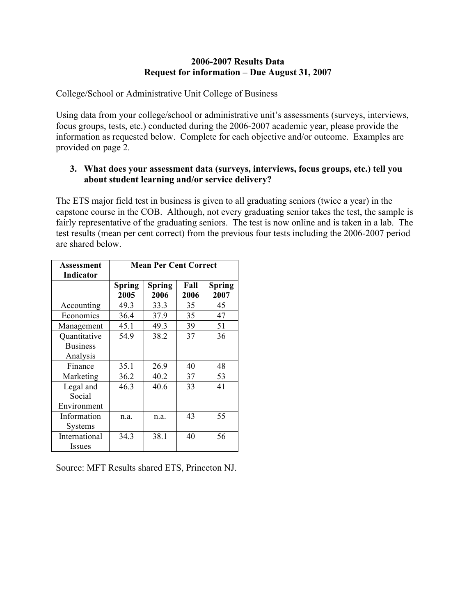### **2006-2007 Results Data Request for information – Due August 31, 2007**

College/School or Administrative Unit College of Business

Using data from your college/school or administrative unit's assessments (surveys, interviews, focus groups, tests, etc.) conducted during the 2006-2007 academic year, please provide the information as requested below. Complete for each objective and/or outcome. Examples are provided on page 2.

### **3. What does your assessment data (surveys, interviews, focus groups, etc.) tell you about student learning and/or service delivery?**

The ETS major field test in business is given to all graduating seniors (twice a year) in the capstone course in the COB. Although, not every graduating senior takes the test, the sample is fairly representative of the graduating seniors. The test is now online and is taken in a lab. The test results (mean per cent correct) from the previous four tests including the 2006-2007 period are shared below.

| Assessment       | <b>Mean Per Cent Correct</b> |               |      |               |
|------------------|------------------------------|---------------|------|---------------|
| <b>Indicator</b> |                              |               |      |               |
|                  | <b>Spring</b>                | <b>Spring</b> | Fall | <b>Spring</b> |
|                  | 2005                         | 2006          | 2006 | 2007          |
| Accounting       | 49.3                         | 33.3          | 35   | 45            |
| Economics        | 36.4                         | 37.9          | 35   | 47            |
| Management       | 45.1                         | 49.3          | 39   | 51            |
| Quantitative     | 54.9                         | 38.2          | 37   | 36            |
| <b>Business</b>  |                              |               |      |               |
| Analysis         |                              |               |      |               |
| Finance          | 35.1                         | 26.9          | 40   | 48            |
| Marketing        | 36.2                         | 40.2          | 37   | 53            |
| Legal and        | 46.3                         | 40.6          | 33   | 41            |
| Social           |                              |               |      |               |
| Environment      |                              |               |      |               |
| Information      | n.a.                         | n.a.          | 43   | 55            |
| Systems          |                              |               |      |               |
| International    | 34.3                         | 38.1          | 40   | 56            |
| Issues           |                              |               |      |               |

Source: MFT Results shared ETS, Princeton NJ.